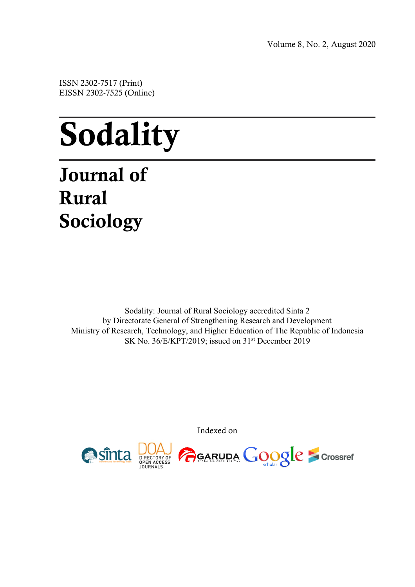Volume 8, No. 2, August 2020

ISSN 2302-7517 (Print) EISSN 2302-7525 (Online)

# Sodality

## Journal of Rural Sociology

Sodality: Journal of Rural Sociology accredited Sinta 2 by Directorate General of Strengthening Research and Development Ministry of Research, Technology, and Higher Education of The Republic of Indonesia SK No. 36/E/KPT/2019; issued on 31<sup>st</sup> December 2019

Indexed on

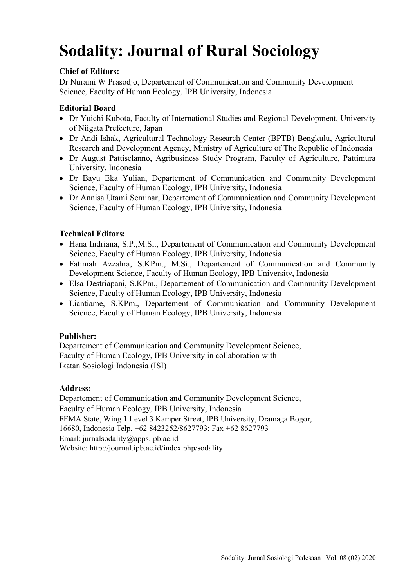## **Sodality: Journal of Rural Sociology**

#### **Chief of Editors:**

Dr Nuraini W Prasodjo, Departement of Communication and Community Development Science, Faculty of Human Ecology, IPB University, Indonesia

#### **Editorial Board**

- Dr Yuichi Kubota, Faculty of International Studies and Regional Development, University of Niigata Prefecture, Japan
- Dr Andi Ishak, Agricultural Technology Research Center (BPTB) Bengkulu, Agricultural Research and Development Agency, Ministry of Agriculture of The Republic of Indonesia
- Dr August Pattiselanno, Agribusiness Study Program, Faculty of Agriculture, Pattimura University, Indonesia
- Dr Bayu Eka Yulian, Departement of Communication and Community Development Science, Faculty of Human Ecology, IPB University, Indonesia
- Dr Annisa Utami Seminar, Departement of Communication and Community Development Science, Faculty of Human Ecology, IPB University, Indonesia

#### **Technical Editors:**

- Hana Indriana, S.P.,M.Si., Departement of Communication and Community Development Science, Faculty of Human Ecology, IPB University, Indonesia
- Fatimah Azzahra, S.KPm., M.Si., Departement of Communication and Community Development Science, Faculty of Human Ecology, IPB University, Indonesia
- Elsa Destriapani, S.KPm., Departement of Communication and Community Development Science, Faculty of Human Ecology, IPB University, Indonesia
- Liantiame, S.KPm., Departement of Communication and Community Development Science, Faculty of Human Ecology, IPB University, Indonesia

#### **Publisher:**

Departement of Communication and Community Development Science, Faculty of Human Ecology, IPB University in collaboration with Ikatan Sosiologi Indonesia (ISI)

#### **Address:**

Departement of Communication and Community Development Science, Faculty of Human Ecology, IPB University, Indonesia FEMA State, Wing 1 Level 3 Kamper Street, IPB University, Dramaga Bogor, 16680, Indonesia Telp. +62 8423252/8627793; Fax +62 8627793 Email: jurnalsodality@apps.ipb.ac.id Website: http://journal.ipb.ac.id/index.php/sodality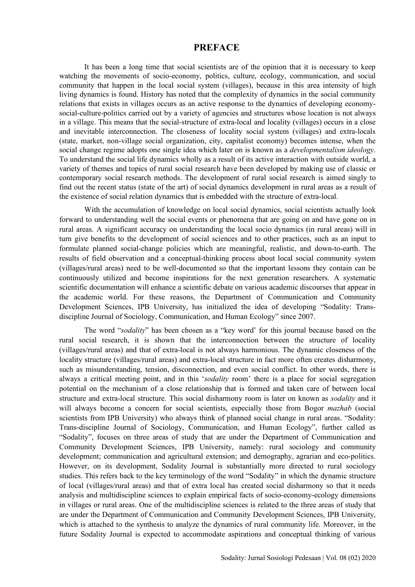#### **PREFACE**

It has been a long time that social scientists are of the opinion that it is necessary to keep watching the movements of socio-economy, politics, culture, ecology, communication, and social community that happen in the local social system (villages), because in this area intensity of high living dynamics is found. History has noted that the complexity of dynamics in the social community relations that exists in villages occurs as an active response to the dynamics of developing economysocial-culture-politics carried out by a variety of agencies and structures whose location is not always in a village. This means that the social-structure of extra-local and locality (villages) occurs in a close and inevitable interconnection. The closeness of locality social system (villages) and extra-locals (state, market, non-village social organization, city, capitalist economy) becomes intense, when the social change regime adopts one single idea which later on is known as a *developmentalism ideology*. To understand the social life dynamics wholly as a result of its active interaction with outside world, a variety of themes and topics of rural social research have been developed by making use of classic or contemporary social research methods. The development of rural social research is aimed singly to find out the recent status (state of the art) of social dynamics development in rural areas as a result of the existence of social relation dynamics that is embedded with the structure of extra-local.

With the accumulation of knowledge on local social dynamics, social scientists actually look forward to understanding well the social events or phenomena that are going on and have gone on in rural areas. A significant accuracy on understanding the local socio dynamics (in rural areas) will in turn give benefits to the development of social sciences and to other practices, such as an input to formulate planned social-change policies which are meaningful, realistic, and down-to-earth. The results of field observation and a conceptual-thinking process about local social community system (villages/rural areas) need to be well-documented so that the important lessons they contain can be continuously utilized and become inspirations for the next generation researchers. A systematic scientific documentation will enhance a scientific debate on various academic discourses that appear in the academic world. For these reasons, the Department of Communication and Community Development Sciences, IPB University, has initialized the idea of developing "Sodality: Transdiscipline Journal of Sociology, Communication, and Human Ecology" since 2007.

The word "*sodality*" has been chosen as a "key word' for this journal because based on the rural social research, it is shown that the interconnection between the structure of locality (villages/rural areas) and that of extra-local is not always harmonious. The dynamic closeness of the locality structure (villages/rural areas) and extra-local structure in fact more often creates disharmony, such as misunderstanding, tension, disconnection, and even social conflict. In other words, there is always a critical meeting point, and in this '*sodality* room' there is a place for social segregation potential on the mechanism of a close relationship that is formed and taken care of between local structure and extra-local structure. This social disharmony room is later on known as *sodality* and it will always become a concern for social scientists, especially those from Bogor *mazhab* (social scientists from IPB University) who always think of planned social change in rural areas. "Sodality: Trans-discipline Journal of Sociology, Communication, and Human Ecology", further called as "Sodality", focuses on three areas of study that are under the Department of Communication and Community Development Sciences, IPB University, namely: rural sociology and community development; communication and agricultural extension; and demography, agrarian and eco-politics. However, on its development, Sodality Journal is substantially more directed to rural sociology studies. This refers back to the key terminology of the word "Sodality" in which the dynamic structure of local (villages/rural areas) and that of extra local has created social disharmony so that it needs analysis and multidiscipline sciences to explain empirical facts of socio-economy-ecology dimensions in villages or rural areas. One of the multidiscipline sciences is related to the three areas of study that are under the Department of Communication and Community Development Sciences, IPB University, which is attached to the synthesis to analyze the dynamics of rural community life. Moreover, in the future Sodality Journal is expected to accommodate aspirations and conceptual thinking of various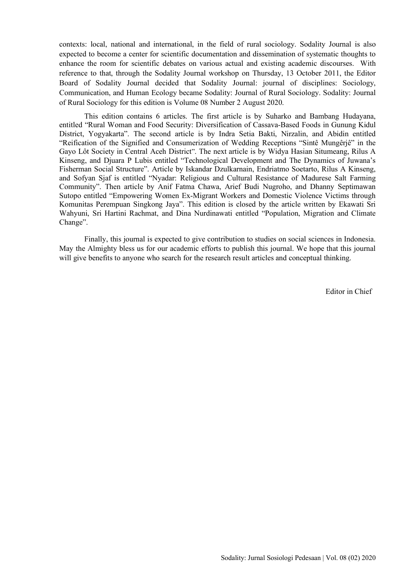contexts: local, national and international, in the field of rural sociology. Sodality Journal is also expected to become a center for scientific documentation and dissemination of systematic thoughts to enhance the room for scientific debates on various actual and existing academic discourses. With reference to that, through the Sodality Journal workshop on Thursday, 13 October 2011, the Editor Board of Sodality Journal decided that Sodality Journal: journal of disciplines: Sociology, Communication, and Human Ecology became Sodality: Journal of Rural Sociology. Sodality: Journal of Rural Sociology for this edition is Volume 08 Number 2 August 2020.

This edition contains 6 articles. The first article is by Suharko and Bambang Hudayana, entitled "Rural Woman and Food Security: Diversification of Cassava-Based Foods in Gunung Kidul District, Yogyakarta". The second article is by Indra Setia Bakti, Nirzalin, and Abidin entitled "Reification of the Signified and Consumerization of Wedding Receptions "Sintê Mungêrjê" in the Gayo Lôt Society in Central Aceh District". The next article is by Widya Hasian Situmeang, Rilus A Kinseng, and Djuara P Lubis entitled "Technological Development and The Dynamics of Juwana's Fisherman Social Structure". Article by Iskandar Dzulkarnain, Endriatmo Soetarto, Rilus A Kinseng, and Sofyan Sjaf is entitled "Nyadar: Religious and Cultural Resistance of Madurese Salt Farming Community". Then article by Anif Fatma Chawa, Arief Budi Nugroho, and Dhanny Septimawan Sutopo entitled "Empowering Women Ex-Migrant Workers and Domestic Violence Victims through Komunitas Perempuan Singkong Jaya". This edition is closed by the article written by Ekawati Sri Wahyuni, Sri Hartini Rachmat, and Dina Nurdinawati entitled "Population, Migration and Climate Change".

Finally, this journal is expected to give contribution to studies on social sciences in Indonesia. May the Almighty bless us for our academic efforts to publish this journal. We hope that this journal will give benefits to anyone who search for the research result articles and conceptual thinking.

Editor in Chief